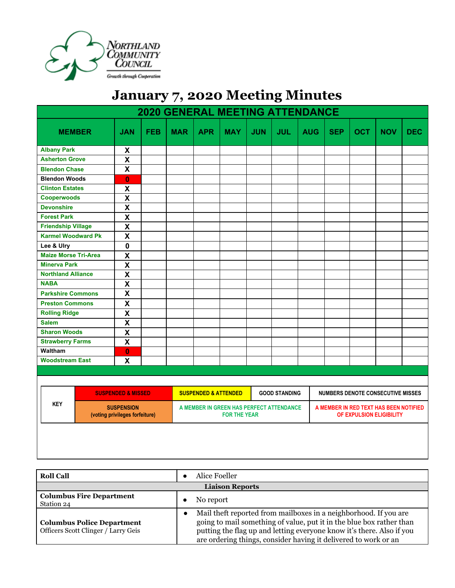

## **January 7, 2020 Meeting Minutes**

| <b>2020 GENERAL MEETING ATTENDANCE</b> |                                                     |                           |            |            |                                                                 |            |            |                      |            |                                                                    |            |            |            |
|----------------------------------------|-----------------------------------------------------|---------------------------|------------|------------|-----------------------------------------------------------------|------------|------------|----------------------|------------|--------------------------------------------------------------------|------------|------------|------------|
| <b>MEMBER</b>                          |                                                     | <b>JAN</b>                | <b>FEB</b> | <b>MAR</b> | <b>APR</b>                                                      | <b>MAY</b> | <b>JUN</b> | <b>JUL</b>           | <b>AUG</b> | <b>SEP</b>                                                         | <b>OCT</b> | <b>NOV</b> | <b>DEC</b> |
| <b>Albany Park</b>                     |                                                     | X                         |            |            |                                                                 |            |            |                      |            |                                                                    |            |            |            |
| <b>Asherton Grove</b>                  |                                                     | $\mathsf{X}$              |            |            |                                                                 |            |            |                      |            |                                                                    |            |            |            |
| <b>Blendon Chase</b>                   |                                                     | $\mathsf{X}$              |            |            |                                                                 |            |            |                      |            |                                                                    |            |            |            |
| <b>Blendon Woods</b>                   |                                                     | $\bf{0}$                  |            |            |                                                                 |            |            |                      |            |                                                                    |            |            |            |
| <b>Clinton Estates</b>                 |                                                     | $\boldsymbol{\mathsf{X}}$ |            |            |                                                                 |            |            |                      |            |                                                                    |            |            |            |
| Cooperwoods                            |                                                     | $\boldsymbol{\mathsf{X}}$ |            |            |                                                                 |            |            |                      |            |                                                                    |            |            |            |
| <b>Devonshire</b>                      |                                                     | $\overline{\mathbf{X}}$   |            |            |                                                                 |            |            |                      |            |                                                                    |            |            |            |
| <b>Forest Park</b>                     |                                                     | $\mathsf{X}$              |            |            |                                                                 |            |            |                      |            |                                                                    |            |            |            |
| <b>Friendship Village</b>              |                                                     | $\overline{\mathbf{x}}$   |            |            |                                                                 |            |            |                      |            |                                                                    |            |            |            |
| <b>Karmel Woodward Pk</b>              |                                                     | $\overline{\mathsf{x}}$   |            |            |                                                                 |            |            |                      |            |                                                                    |            |            |            |
| Lee & Ulry                             |                                                     | $\mathbf 0$               |            |            |                                                                 |            |            |                      |            |                                                                    |            |            |            |
| <b>Maize Morse Tri-Area</b>            |                                                     | $\mathsf{\overline{X}}$   |            |            |                                                                 |            |            |                      |            |                                                                    |            |            |            |
| <b>Minerva Park</b>                    |                                                     | $\boldsymbol{\mathsf{X}}$ |            |            |                                                                 |            |            |                      |            |                                                                    |            |            |            |
| <b>Northland Alliance</b>              |                                                     | $\overline{\mathbf{x}}$   |            |            |                                                                 |            |            |                      |            |                                                                    |            |            |            |
| <b>NABA</b>                            |                                                     | $\mathsf{X}$              |            |            |                                                                 |            |            |                      |            |                                                                    |            |            |            |
| <b>Parkshire Commons</b>               |                                                     | $\mathsf{X}$              |            |            |                                                                 |            |            |                      |            |                                                                    |            |            |            |
| <b>Preston Commons</b>                 |                                                     | $\boldsymbol{\mathsf{x}}$ |            |            |                                                                 |            |            |                      |            |                                                                    |            |            |            |
| <b>Rolling Ridge</b>                   |                                                     | X                         |            |            |                                                                 |            |            |                      |            |                                                                    |            |            |            |
| <b>Salem</b>                           |                                                     | $\boldsymbol{\mathsf{X}}$ |            |            |                                                                 |            |            |                      |            |                                                                    |            |            |            |
| <b>Sharon Woods</b>                    |                                                     | $\boldsymbol{\mathsf{X}}$ |            |            |                                                                 |            |            |                      |            |                                                                    |            |            |            |
| <b>Strawberry Farms</b>                |                                                     | $\mathsf{\overline{X}}$   |            |            |                                                                 |            |            |                      |            |                                                                    |            |            |            |
| Waltham                                |                                                     | $\mathbf{0}$              |            |            |                                                                 |            |            |                      |            |                                                                    |            |            |            |
| <b>Woodstream East</b>                 |                                                     | $\boldsymbol{\mathsf{x}}$ |            |            |                                                                 |            |            |                      |            |                                                                    |            |            |            |
|                                        |                                                     |                           |            |            |                                                                 |            |            |                      |            |                                                                    |            |            |            |
|                                        |                                                     |                           |            |            |                                                                 |            |            |                      |            |                                                                    |            |            |            |
|                                        | <b>SUSPENDED &amp; MISSED</b>                       |                           |            |            | <b>SUSPENDED &amp; ATTENDED</b>                                 |            |            | <b>GOOD STANDING</b> |            | <b>NUMBERS DENOTE CONSECUTIVE MISSES</b>                           |            |            |            |
| <b>KEY</b>                             | <b>SUSPENSION</b><br>(voting privileges forfeiture) |                           |            |            | A MEMBER IN GREEN HAS PERFECT ATTENDANCE<br><b>FOR THE YEAR</b> |            |            |                      |            | A MEMBER IN RED TEXT HAS BEEN NOTIFIED<br>OF EXPULSION ELIGIBILITY |            |            |            |
|                                        |                                                     |                           |            |            |                                                                 |            |            |                      |            |                                                                    |            |            |            |

| <b>Roll Call</b>                                                         | Alice Foeller                                                                                                                                                                                                                                                                        |  |  |  |
|--------------------------------------------------------------------------|--------------------------------------------------------------------------------------------------------------------------------------------------------------------------------------------------------------------------------------------------------------------------------------|--|--|--|
| <b>Liaison Reports</b>                                                   |                                                                                                                                                                                                                                                                                      |  |  |  |
| <b>Columbus Fire Department</b><br>Station 24                            | No report                                                                                                                                                                                                                                                                            |  |  |  |
| <b>Columbus Police Department</b><br>Officers Scott Clinger / Larry Geis | Mail theft reported from mailboxes in a neighborhood. If you are<br>going to mail something of value, put it in the blue box rather than<br>putting the flag up and letting everyone know it's there. Also if you<br>are ordering things, consider having it delivered to work or an |  |  |  |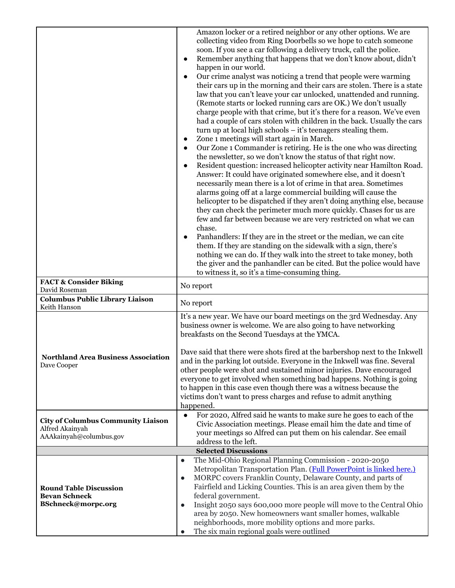| <b>FACT &amp; Consider Biking</b>                                                       | Amazon locker or a retired neighbor or any other options. We are<br>collecting video from Ring Doorbells so we hope to catch someone<br>soon. If you see a car following a delivery truck, call the police.<br>Remember anything that happens that we don't know about, didn't<br>٠<br>happen in our world.<br>Our crime analyst was noticing a trend that people were warming<br>$\bullet$<br>their cars up in the morning and their cars are stolen. There is a state<br>law that you can't leave your car unlocked, unattended and running.<br>(Remote starts or locked running cars are OK.) We don't usually<br>charge people with that crime, but it's there for a reason. We've even<br>had a couple of cars stolen with children in the back. Usually the cars<br>turn up at local high schools – it's teenagers stealing them.<br>Zone 1 meetings will start again in March.<br>٠<br>Our Zone 1 Commander is retiring. He is the one who was directing<br>$\bullet$<br>the newsletter, so we don't know the status of that right now.<br>Resident question: increased helicopter activity near Hamilton Road.<br>٠<br>Answer: It could have originated somewhere else, and it doesn't<br>necessarily mean there is a lot of crime in that area. Sometimes<br>alarms going off at a large commercial building will cause the<br>helicopter to be dispatched if they aren't doing anything else, because<br>they can check the perimeter much more quickly. Chases for us are<br>few and far between because we are very restricted on what we can<br>chase.<br>Panhandlers: If they are in the street or the median, we can cite<br>$\bullet$<br>them. If they are standing on the sidewalk with a sign, there's<br>nothing we can do. If they walk into the street to take money, both<br>the giver and the panhandler can be cited. But the police would have<br>to witness it, so it's a time-consuming thing.<br>No report |
|-----------------------------------------------------------------------------------------|----------------------------------------------------------------------------------------------------------------------------------------------------------------------------------------------------------------------------------------------------------------------------------------------------------------------------------------------------------------------------------------------------------------------------------------------------------------------------------------------------------------------------------------------------------------------------------------------------------------------------------------------------------------------------------------------------------------------------------------------------------------------------------------------------------------------------------------------------------------------------------------------------------------------------------------------------------------------------------------------------------------------------------------------------------------------------------------------------------------------------------------------------------------------------------------------------------------------------------------------------------------------------------------------------------------------------------------------------------------------------------------------------------------------------------------------------------------------------------------------------------------------------------------------------------------------------------------------------------------------------------------------------------------------------------------------------------------------------------------------------------------------------------------------------------------------------------------------------------------------------------------------------------------------------------------|
| David Roseman<br><b>Columbus Public Library Liaison</b>                                 | No report                                                                                                                                                                                                                                                                                                                                                                                                                                                                                                                                                                                                                                                                                                                                                                                                                                                                                                                                                                                                                                                                                                                                                                                                                                                                                                                                                                                                                                                                                                                                                                                                                                                                                                                                                                                                                                                                                                                              |
| Keith Hanson<br><b>Northland Area Business Association</b><br>Dave Cooper               | It's a new year. We have our board meetings on the 3rd Wednesday. Any<br>business owner is welcome. We are also going to have networking<br>breakfasts on the Second Tuesdays at the YMCA.<br>Dave said that there were shots fired at the barbershop next to the Inkwell<br>and in the parking lot outside. Everyone in the Inkwell was fine. Several<br>other people were shot and sustained minor injuries. Dave encouraged<br>everyone to get involved when something bad happens. Nothing is going<br>to happen in this case even though there was a witness because the<br>victims don't want to press charges and refuse to admit anything<br>happened.                                                                                                                                                                                                                                                                                                                                                                                                                                                                                                                                                                                                                                                                                                                                                                                                                                                                                                                                                                                                                                                                                                                                                                                                                                                                         |
| <b>City of Columbus Community Liaison</b><br>Alfred Akainyah<br>AAAkainyah@columbus.gov | For 2020, Alfred said he wants to make sure he goes to each of the<br>$\bullet$<br>Civic Association meetings. Please email him the date and time of<br>your meetings so Alfred can put them on his calendar. See email<br>address to the left.                                                                                                                                                                                                                                                                                                                                                                                                                                                                                                                                                                                                                                                                                                                                                                                                                                                                                                                                                                                                                                                                                                                                                                                                                                                                                                                                                                                                                                                                                                                                                                                                                                                                                        |
|                                                                                         | <b>Selected Discussions</b>                                                                                                                                                                                                                                                                                                                                                                                                                                                                                                                                                                                                                                                                                                                                                                                                                                                                                                                                                                                                                                                                                                                                                                                                                                                                                                                                                                                                                                                                                                                                                                                                                                                                                                                                                                                                                                                                                                            |
| <b>Round Table Discussion</b><br><b>Bevan Schneck</b><br>BSchneck@morpc.org             | The Mid-Ohio Regional Planning Commission - 2020-2050<br>$\bullet$<br>Metropolitan Transportation Plan. (Full PowerPoint is linked here.)<br>MORPC covers Franklin County, Delaware County, and parts of<br>$\bullet$<br>Fairfield and Licking Counties. This is an area given them by the<br>federal government.<br>Insight 2050 says 600,000 more people will move to the Central Ohio<br>$\bullet$<br>area by 2050. New homeowners want smaller homes, walkable<br>neighborhoods, more mobility options and more parks.<br>The six main regional goals were outlined                                                                                                                                                                                                                                                                                                                                                                                                                                                                                                                                                                                                                                                                                                                                                                                                                                                                                                                                                                                                                                                                                                                                                                                                                                                                                                                                                                |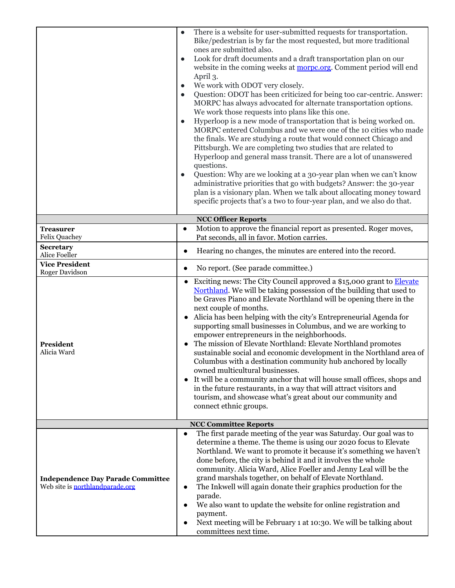|                                                                             | There is a website for user-submitted requests for transportation.<br>$\bullet$<br>Bike/pedestrian is by far the most requested, but more traditional<br>ones are submitted also.<br>Look for draft documents and a draft transportation plan on our<br>$\bullet$<br>website in the coming weeks at <b>morpc.org</b> . Comment period will end<br>April 3.<br>We work with ODOT very closely.<br>$\bullet$<br>Question: ODOT has been criticized for being too car-centric. Answer:<br>$\bullet$<br>MORPC has always advocated for alternate transportation options.<br>We work those requests into plans like this one.<br>Hyperloop is a new mode of transportation that is being worked on.<br>$\bullet$<br>MORPC entered Columbus and we were one of the 10 cities who made<br>the finals. We are studying a route that would connect Chicago and<br>Pittsburgh. We are completing two studies that are related to<br>Hyperloop and general mass transit. There are a lot of unanswered<br>questions.<br>Question: Why are we looking at a 30-year plan when we can't know<br>$\bullet$<br>administrative priorities that go with budgets? Answer: the 30-year<br>plan is a visionary plan. When we talk about allocating money toward<br>specific projects that's a two to four-year plan, and we also do that. |  |  |  |  |
|-----------------------------------------------------------------------------|----------------------------------------------------------------------------------------------------------------------------------------------------------------------------------------------------------------------------------------------------------------------------------------------------------------------------------------------------------------------------------------------------------------------------------------------------------------------------------------------------------------------------------------------------------------------------------------------------------------------------------------------------------------------------------------------------------------------------------------------------------------------------------------------------------------------------------------------------------------------------------------------------------------------------------------------------------------------------------------------------------------------------------------------------------------------------------------------------------------------------------------------------------------------------------------------------------------------------------------------------------------------------------------------------------------------|--|--|--|--|
|                                                                             | <b>NCC Officer Reports</b>                                                                                                                                                                                                                                                                                                                                                                                                                                                                                                                                                                                                                                                                                                                                                                                                                                                                                                                                                                                                                                                                                                                                                                                                                                                                                           |  |  |  |  |
| <b>Treasurer</b><br><b>Felix Quachey</b>                                    | Motion to approve the financial report as presented. Roger moves,<br>$\bullet$<br>Pat seconds, all in favor. Motion carries.                                                                                                                                                                                                                                                                                                                                                                                                                                                                                                                                                                                                                                                                                                                                                                                                                                                                                                                                                                                                                                                                                                                                                                                         |  |  |  |  |
| Secretary<br>Alice Foeller                                                  | Hearing no changes, the minutes are entered into the record.<br>$\bullet$                                                                                                                                                                                                                                                                                                                                                                                                                                                                                                                                                                                                                                                                                                                                                                                                                                                                                                                                                                                                                                                                                                                                                                                                                                            |  |  |  |  |
| <b>Vice President</b><br>Roger Davidson                                     | No report. (See parade committee.)<br>$\bullet$                                                                                                                                                                                                                                                                                                                                                                                                                                                                                                                                                                                                                                                                                                                                                                                                                                                                                                                                                                                                                                                                                                                                                                                                                                                                      |  |  |  |  |
| President<br>Alicia Ward                                                    | Exciting news: The City Council approved a \$15,000 grant to <b>Elevate</b><br>$\bullet$<br>Northland. We will be taking possession of the building that used to<br>be Graves Piano and Elevate Northland will be opening there in the<br>next couple of months.<br>Alicia has been helping with the city's Entrepreneurial Agenda for<br>supporting small businesses in Columbus, and we are working to<br>empower entrepreneurs in the neighborhoods.<br>The mission of Elevate Northland: Elevate Northland promotes<br>sustainable social and economic development in the Northland area of<br>Columbus with a destination community hub anchored by locally<br>owned multicultural businesses.<br>It will be a community anchor that will house small offices, shops and<br>$\bullet$<br>in the future restaurants, in a way that will attract visitors and<br>tourism, and showcase what's great about our community and<br>connect ethnic groups.                                                                                                                                                                                                                                                                                                                                                             |  |  |  |  |
| <b>NCC Committee Reports</b>                                                |                                                                                                                                                                                                                                                                                                                                                                                                                                                                                                                                                                                                                                                                                                                                                                                                                                                                                                                                                                                                                                                                                                                                                                                                                                                                                                                      |  |  |  |  |
| <b>Independence Day Parade Committee</b><br>Web site is northlandparade.org | The first parade meeting of the year was Saturday. Our goal was to<br>$\bullet$<br>determine a theme. The theme is using our 2020 focus to Elevate<br>Northland. We want to promote it because it's something we haven't<br>done before, the city is behind it and it involves the whole<br>community. Alicia Ward, Alice Foeller and Jenny Leal will be the<br>grand marshals together, on behalf of Elevate Northland.<br>The Inkwell will again donate their graphics production for the<br>$\bullet$<br>parade.<br>We also want to update the website for online registration and<br>$\bullet$<br>payment.<br>Next meeting will be February 1 at 10:30. We will be talking about<br>$\bullet$<br>committees next time.                                                                                                                                                                                                                                                                                                                                                                                                                                                                                                                                                                                           |  |  |  |  |